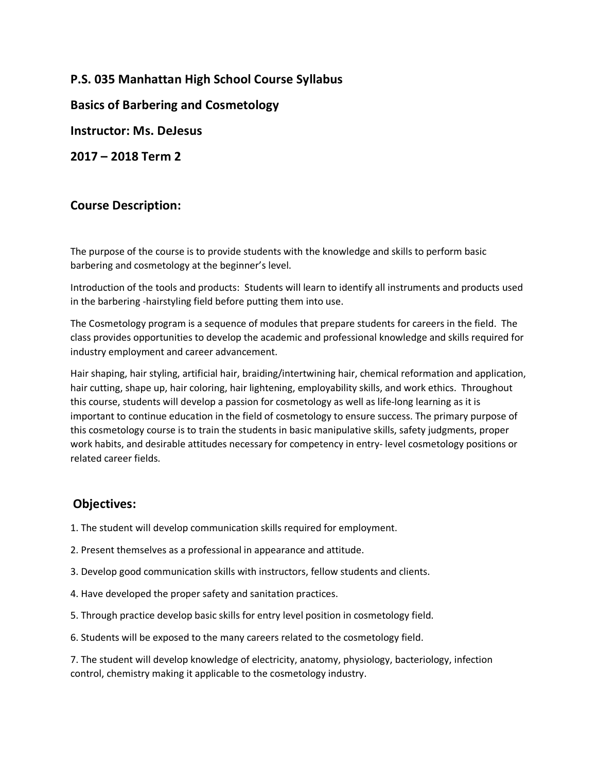**P.S. 035 Manhattan High School Course Syllabus**

**Basics of Barbering and Cosmetology**

**Instructor: Ms. DeJesus**

**2017 – 2018 Term 2**

# **Course Description:**

The purpose of the course is to provide students with the knowledge and skills to perform basic barbering and cosmetology at the beginner's level.

Introduction of the tools and products: Students will learn to identify all instruments and products used in the barbering -hairstyling field before putting them into use.

The Cosmetology program is a sequence of modules that prepare students for careers in the field. The class provides opportunities to develop the academic and professional knowledge and skills required for industry employment and career advancement.

Hair shaping, hair styling, artificial hair, braiding/intertwining hair, chemical reformation and application, hair cutting, shape up, hair coloring, hair lightening, employability skills, and work ethics. Throughout this course, students will develop a passion for cosmetology as well as life-long learning as it is important to continue education in the field of cosmetology to ensure success. The primary purpose of this cosmetology course is to train the students in basic manipulative skills, safety judgments, proper work habits, and desirable attitudes necessary for competency in entry- level cosmetology positions or related career fields.

# **Objectives:**

- 1. The student will develop communication skills required for employment.
- 2. Present themselves as a professional in appearance and attitude.
- 3. Develop good communication skills with instructors, fellow students and clients.
- 4. Have developed the proper safety and sanitation practices.
- 5. Through practice develop basic skills for entry level position in cosmetology field.
- 6. Students will be exposed to the many careers related to the cosmetology field.

7. The student will develop knowledge of electricity, anatomy, physiology, bacteriology, infection control, chemistry making it applicable to the cosmetology industry.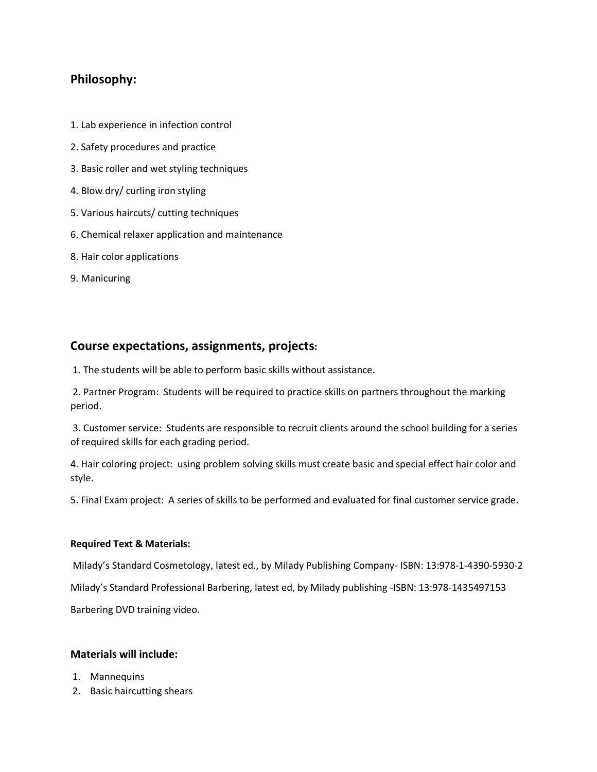## **Philosophy:**

- 1. Lab experience in infection control
- 2. Safety procedures and practice
- 3. Basic roller and wet styling techniques
- 4. Blow dry/ curling iron styling
- 5. Various haircuts/ cutting techniques
- 6. Chemical relaxer application and maintenance
- 8. Hair color applications
- 9. Manicuring

### **Course expectations, assignments, projects:**

1. The students will be able to perform basic skills without assistance.

2. Partner Program: Students will be required to practice skills on partners throughout the marking period.

3. Customer service: Students are responsible to recruit clients around the school building for a series of required skills for each grading period.

4. Hair coloring project: using problem solving skills must create basic and special effect hair color and style.

5. Final Exam project: A series of skills to be performed and evaluated for final customer service grade.

#### **Required Text & Materials:**

Milady's Standard Cosmetology, latest ed., by Milady Publishing Company- ISBN: 13:978-1-4390-5930-2 Milady's Standard Professional Barbering, latest ed, by Milady publishing -ISBN: 13:978-1435497153 Barbering DVD training video.

#### **Materials will include:**

- 1. Mannequins
- 2. Basic haircutting shears